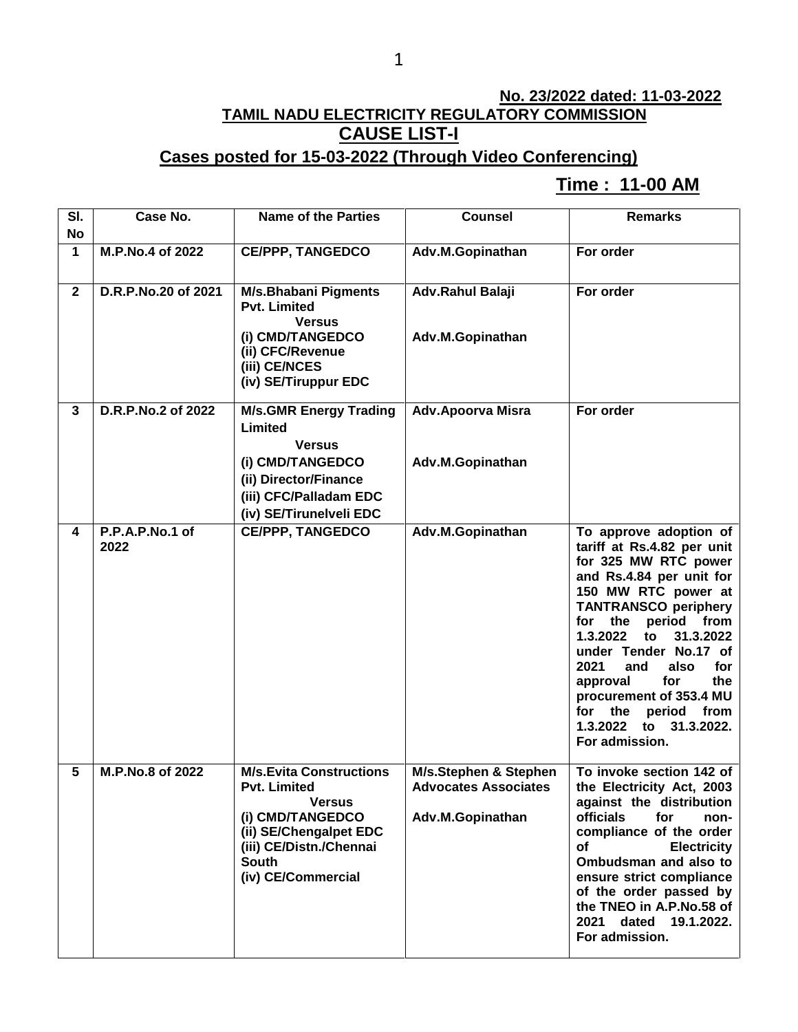### 1

# **No. 23/2022 dated: 11-03-2022 TAMIL NADU ELECTRICITY REGULATORY COMMISSION CAUSE LIST-I**

# **Cases posted for 15-03-2022 (Through Video Conferencing)**

### **Time : 11-00 AM[**

| SI.<br><b>No</b> | Case No.                | <b>Name of the Parties</b>                                                                                                                                                            | <b>Counsel</b>                                                           | <b>Remarks</b>                                                                                                                                                                                                                                                                                                                                                                                                  |
|------------------|-------------------------|---------------------------------------------------------------------------------------------------------------------------------------------------------------------------------------|--------------------------------------------------------------------------|-----------------------------------------------------------------------------------------------------------------------------------------------------------------------------------------------------------------------------------------------------------------------------------------------------------------------------------------------------------------------------------------------------------------|
| 1                | M.P.No.4 of 2022        | <b>CE/PPP, TANGEDCO</b>                                                                                                                                                               | Adv.M.Gopinathan                                                         | For order                                                                                                                                                                                                                                                                                                                                                                                                       |
| $\mathbf{2}$     | D.R.P.No.20 of 2021     | <b>M/s.Bhabani Pigments</b><br><b>Pvt. Limited</b><br><b>Versus</b><br>(i) CMD/TANGEDCO<br>(ii) CFC/Revenue<br>(iii) CE/NCES<br>(iv) SE/Tiruppur EDC                                  | Adv.Rahul Balaji<br>Adv.M.Gopinathan                                     | For order                                                                                                                                                                                                                                                                                                                                                                                                       |
| 3                | D.R.P.No.2 of 2022      | <b>M/s.GMR Energy Trading</b><br>Limited<br><b>Versus</b><br>(i) CMD/TANGEDCO<br>(ii) Director/Finance<br>(iii) CFC/Palladam EDC                                                      | <b>Adv.Apoorva Misra</b><br>Adv.M.Gopinathan                             | For order                                                                                                                                                                                                                                                                                                                                                                                                       |
| 4                | P.P.A.P.No.1 of<br>2022 | (iv) SE/Tirunelveli EDC<br><b>CE/PPP, TANGEDCO</b>                                                                                                                                    | Adv.M.Gopinathan                                                         | To approve adoption of<br>tariff at Rs.4.82 per unit<br>for 325 MW RTC power<br>and Rs.4.84 per unit for<br>150 MW RTC power at<br><b>TANTRANSCO periphery</b><br>period<br>for the<br>from<br>1.3.2022<br>to<br>31.3.2022<br>under Tender No.17 of<br>2021<br>and<br>also<br>for<br>the<br>approval<br>for<br>procurement of 353.4 MU<br>for the<br>period from<br>1.3.2022<br>to 31.3.2022.<br>For admission. |
| 5                | M.P.No.8 of 2022        | <b>M/s.Evita Constructions</b><br><b>Pvt. Limited</b><br><b>Versus</b><br>(i) CMD/TANGEDCO<br>(ii) SE/Chengalpet EDC<br>(iii) CE/Distn./Chennai<br><b>South</b><br>(iv) CE/Commercial | M/s.Stephen & Stephen<br><b>Advocates Associates</b><br>Adv.M.Gopinathan | To invoke section 142 of<br>the Electricity Act, 2003<br>against the distribution<br><b>officials</b><br>for<br>non-<br>compliance of the order<br>of<br><b>Electricity</b><br>Ombudsman and also to<br>ensure strict compliance<br>of the order passed by<br>the TNEO in A.P.No.58 of<br>dated 19.1.2022.<br>2021<br>For admission.                                                                            |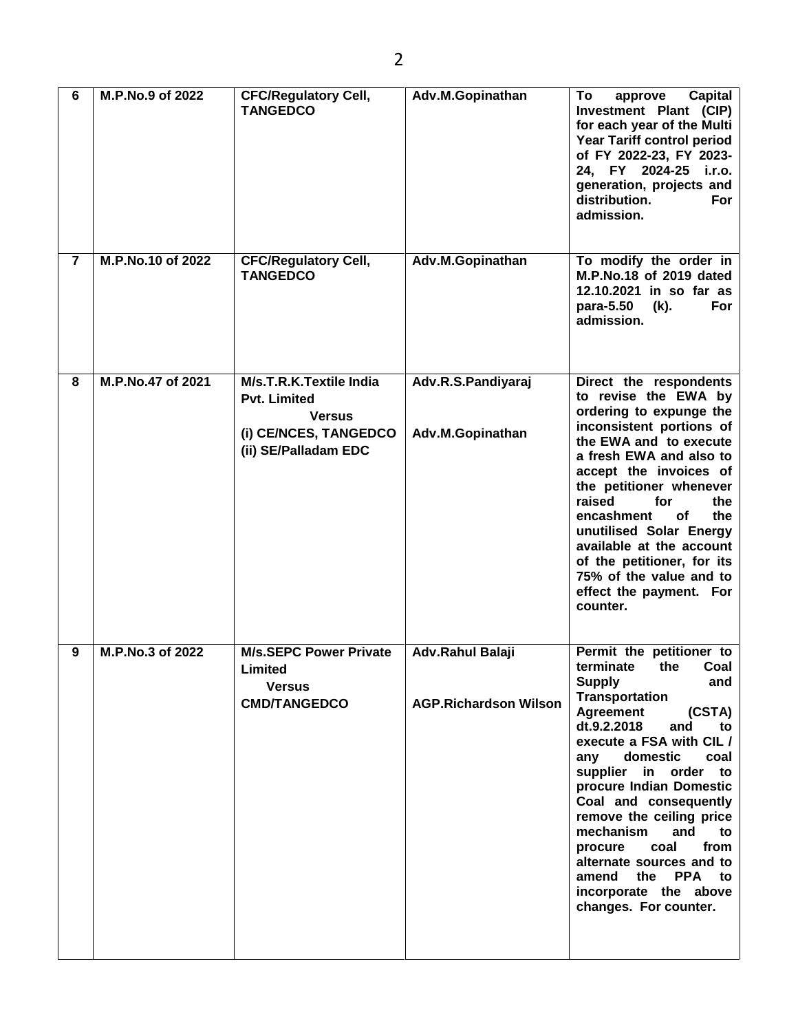| 6              | M.P.No.9 of 2022  | <b>CFC/Regulatory Cell,</b><br><b>TANGEDCO</b>                                                                   | Adv.M.Gopinathan                                 | <b>Capital</b><br>To<br>approve<br>Investment Plant (CIP)<br>for each year of the Multi<br><b>Year Tariff control period</b><br>of FY 2022-23, FY 2023-<br>24, FY 2024-25 i.r.o.<br>generation, projects and<br>distribution.<br><b>For</b><br>admission.                                                                                                                                                                                                                     |
|----------------|-------------------|------------------------------------------------------------------------------------------------------------------|--------------------------------------------------|-------------------------------------------------------------------------------------------------------------------------------------------------------------------------------------------------------------------------------------------------------------------------------------------------------------------------------------------------------------------------------------------------------------------------------------------------------------------------------|
| $\overline{7}$ | M.P.No.10 of 2022 | <b>CFC/Regulatory Cell,</b><br><b>TANGEDCO</b>                                                                   | Adv.M.Gopinathan                                 | To modify the order in<br>M.P.No.18 of 2019 dated<br>12.10.2021 in so far as<br>para-5.50<br>For<br>(k).<br>admission.                                                                                                                                                                                                                                                                                                                                                        |
| 8              | M.P.No.47 of 2021 | M/s.T.R.K.Textile India<br><b>Pvt. Limited</b><br><b>Versus</b><br>(i) CE/NCES, TANGEDCO<br>(ii) SE/Palladam EDC | Adv.R.S.Pandiyaraj<br>Adv.M.Gopinathan           | Direct the respondents<br>to revise the EWA by<br>ordering to expunge the<br>inconsistent portions of<br>the EWA and to execute<br>a fresh EWA and also to<br>accept the invoices of<br>the petitioner whenever<br>raised<br>for<br>the<br>encashment<br><b>of</b><br>the<br>unutilised Solar Energy<br>available at the account<br>of the petitioner, for its<br>75% of the value and to<br>effect the payment. For<br>counter.                                              |
| 9              | M.P.No.3 of 2022  | <b>M/s.SEPC Power Private</b><br>Limited<br><b>Versus</b><br><b>CMD/TANGEDCO</b>                                 | Adv.Rahul Balaji<br><b>AGP.Richardson Wilson</b> | Permit the petitioner to<br>terminate<br>the<br>Coal<br><b>Supply</b><br>and<br>Transportation<br>(CSTA)<br>Agreement<br>dt.9.2.2018<br>and<br>to<br>execute a FSA with CIL /<br>domestic<br>coal<br>any<br>supplier in order to<br>procure Indian Domestic<br>Coal and consequently<br>remove the ceiling price<br>mechanism<br>and<br>to<br>coal<br>from<br>procure<br>alternate sources and to<br>the PPA<br>amend<br>to<br>incorporate the above<br>changes. For counter. |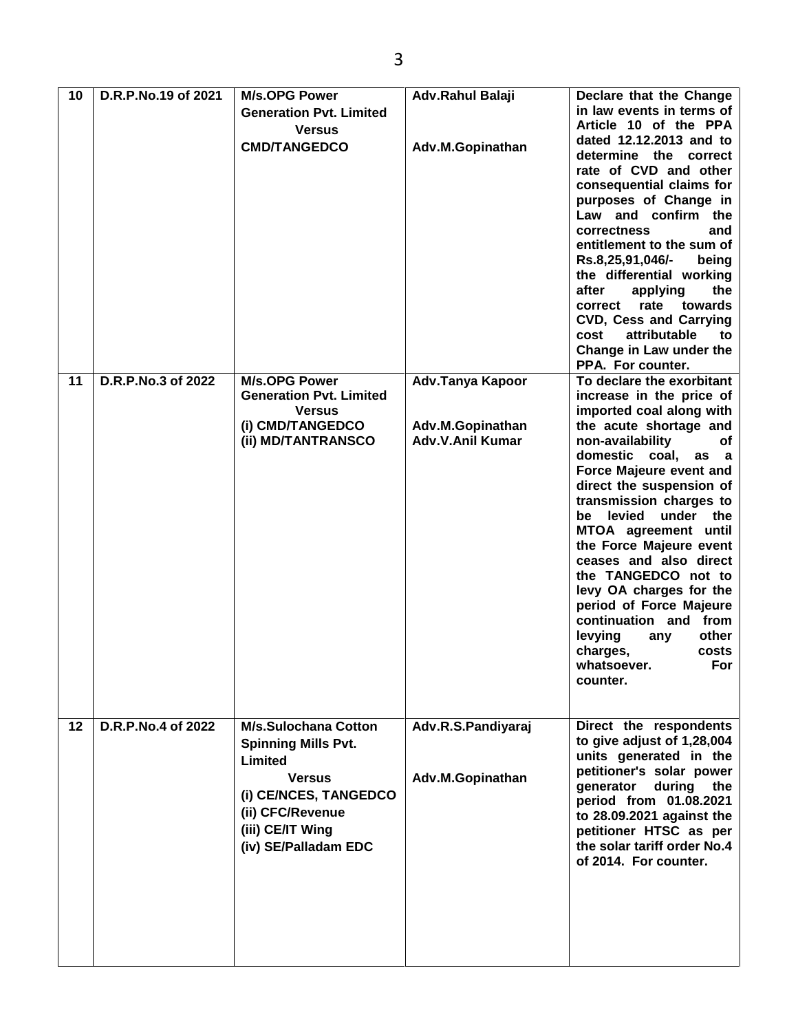| 10 | D.R.P.No.19 of 2021 | <b>M/s.OPG Power</b><br><b>Generation Pvt. Limited</b><br><b>Versus</b><br><b>CMD/TANGEDCO</b>                                                                                 | Adv.Rahul Balaji<br>Adv.M.Gopinathan                            | Declare that the Change<br>in law events in terms of<br>Article 10 of the PPA<br>dated 12.12.2013 and to<br>determine the correct<br>rate of CVD and other<br>consequential claims for<br>purposes of Change in<br>Law and confirm the<br>correctness<br>and<br>entitlement to the sum of<br>Rs.8,25,91,046/-<br>being<br>the differential working<br>after<br>applying<br>the<br>rate<br>towards<br>correct<br><b>CVD, Cess and Carrying</b><br>attributable<br>cost<br>to<br>Change in Law under the<br>PPA. For counter.                |
|----|---------------------|--------------------------------------------------------------------------------------------------------------------------------------------------------------------------------|-----------------------------------------------------------------|--------------------------------------------------------------------------------------------------------------------------------------------------------------------------------------------------------------------------------------------------------------------------------------------------------------------------------------------------------------------------------------------------------------------------------------------------------------------------------------------------------------------------------------------|
| 11 | D.R.P.No.3 of 2022  | <b>M/s.OPG Power</b><br><b>Generation Pvt. Limited</b><br><b>Versus</b><br>(i) CMD/TANGEDCO<br>(ii) MD/TANTRANSCO                                                              | Adv.Tanya Kapoor<br>Adv.M.Gopinathan<br><b>Adv.V.Anil Kumar</b> | To declare the exorbitant<br>increase in the price of<br>imported coal along with<br>the acute shortage and<br>non-availability<br>оf<br>domestic coal, as a<br>Force Majeure event and<br>direct the suspension of<br>transmission charges to<br>be levied under the<br>MTOA agreement until<br>the Force Majeure event<br>ceases and also direct<br>the TANGEDCO not to<br>levy OA charges for the<br>period of Force Majeure<br>continuation and from<br>levying<br>other<br>any<br>charges,<br>costs<br>For<br>whatsoever.<br>counter. |
| 12 | D.R.P.No.4 of 2022  | <b>M/s.Sulochana Cotton</b><br><b>Spinning Mills Pvt.</b><br>Limited<br><b>Versus</b><br>(i) CE/NCES, TANGEDCO<br>(ii) CFC/Revenue<br>(iii) CE/IT Wing<br>(iv) SE/Palladam EDC | Adv.R.S.Pandiyaraj<br>Adv.M.Gopinathan                          | Direct the respondents<br>to give adjust of 1,28,004<br>units generated in the<br>petitioner's solar power<br>generator<br>during<br>the<br>period from 01.08.2021<br>to 28.09.2021 against the<br>petitioner HTSC as per<br>the solar tariff order No.4<br>of 2014. For counter.                                                                                                                                                                                                                                                          |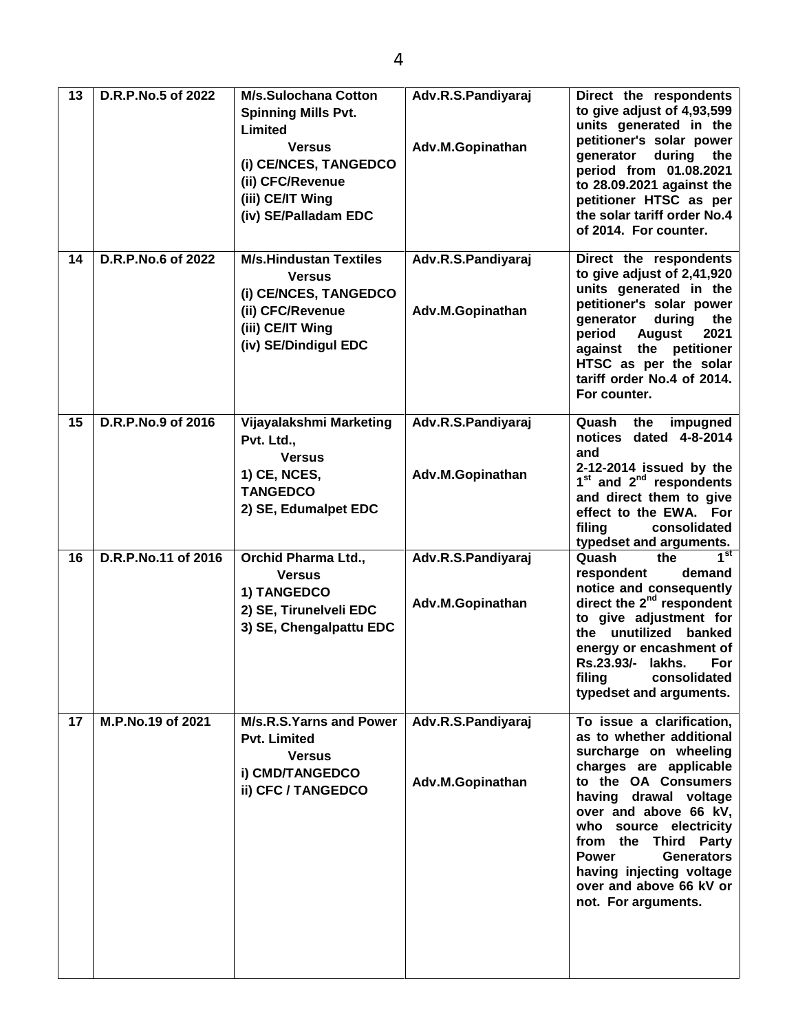| 13 | D.R.P.No.5 of 2022  | <b>M/s.Sulochana Cotton</b><br><b>Spinning Mills Pvt.</b><br>Limited<br><b>Versus</b><br>(i) CE/NCES, TANGEDCO<br>(ii) CFC/Revenue<br>(iii) CE/IT Wing<br>(iv) SE/Palladam EDC | Adv.R.S.Pandiyaraj<br>Adv.M.Gopinathan | Direct the respondents<br>to give adjust of 4,93,599<br>units generated in the<br>petitioner's solar power<br>generator<br>during<br>the<br>period from 01.08.2021<br>to 28.09.2021 against the<br>petitioner HTSC as per<br>the solar tariff order No.4<br>of 2014. For counter.                                                                      |
|----|---------------------|--------------------------------------------------------------------------------------------------------------------------------------------------------------------------------|----------------------------------------|--------------------------------------------------------------------------------------------------------------------------------------------------------------------------------------------------------------------------------------------------------------------------------------------------------------------------------------------------------|
| 14 | D.R.P.No.6 of 2022  | <b>M/s.Hindustan Textiles</b><br><b>Versus</b><br>(i) CE/NCES, TANGEDCO<br>(ii) CFC/Revenue<br>(iii) CE/IT Wing<br>(iv) SE/Dindigul EDC                                        | Adv.R.S.Pandiyaraj<br>Adv.M.Gopinathan | Direct the respondents<br>to give adjust of 2,41,920<br>units generated in the<br>petitioner's solar power<br>generator<br>during<br>the<br>period<br><b>August</b><br>2021<br>against the petitioner<br>HTSC as per the solar<br>tariff order No.4 of 2014.<br>For counter.                                                                           |
| 15 | D.R.P.No.9 of 2016  | Vijayalakshmi Marketing<br>Pvt. Ltd.,<br><b>Versus</b><br>1) CE, NCES,<br><b>TANGEDCO</b><br>2) SE, Edumalpet EDC                                                              | Adv.R.S.Pandiyaraj<br>Adv.M.Gopinathan | Quash<br>the<br>impugned<br>notices dated 4-8-2014<br>and<br>2-12-2014 issued by the<br>$1st$ and $2nd$ respondents<br>and direct them to give<br>effect to the EWA. For<br>filing<br>consolidated<br>typedset and arguments.                                                                                                                          |
| 16 | D.R.P.No.11 of 2016 | <b>Orchid Pharma Ltd.,</b><br><b>Versus</b><br>1) TANGEDCO<br>2) SE, Tirunelveli EDC<br>3) SE, Chengalpattu EDC                                                                | Adv.R.S.Pandiyaraj<br>Adv.M.Gopinathan | 1 <sup>st</sup><br>Quash<br>the<br>respondent<br>demand<br>notice and consequently<br>direct the 2 <sup>nd</sup> respondent<br>to give adjustment for<br>the unutilized banked<br>energy or encashment of<br>Rs.23.93/- lakhs.<br>For<br>filing<br>consolidated<br>typedset and arguments.                                                             |
| 17 | M.P.No.19 of 2021   | M/s.R.S.Yarns and Power<br><b>Pvt. Limited</b><br><b>Versus</b><br>i) CMD/TANGEDCO<br>ii) CFC / TANGEDCO                                                                       | Adv.R.S.Pandiyaraj<br>Adv.M.Gopinathan | To issue a clarification,<br>as to whether additional<br>surcharge on wheeling<br>charges are applicable<br>to the OA Consumers<br>having drawal voltage<br>over and above 66 kV,<br>who source electricity<br>from the Third Party<br><b>Power</b><br><b>Generators</b><br>having injecting voltage<br>over and above 66 kV or<br>not. For arguments. |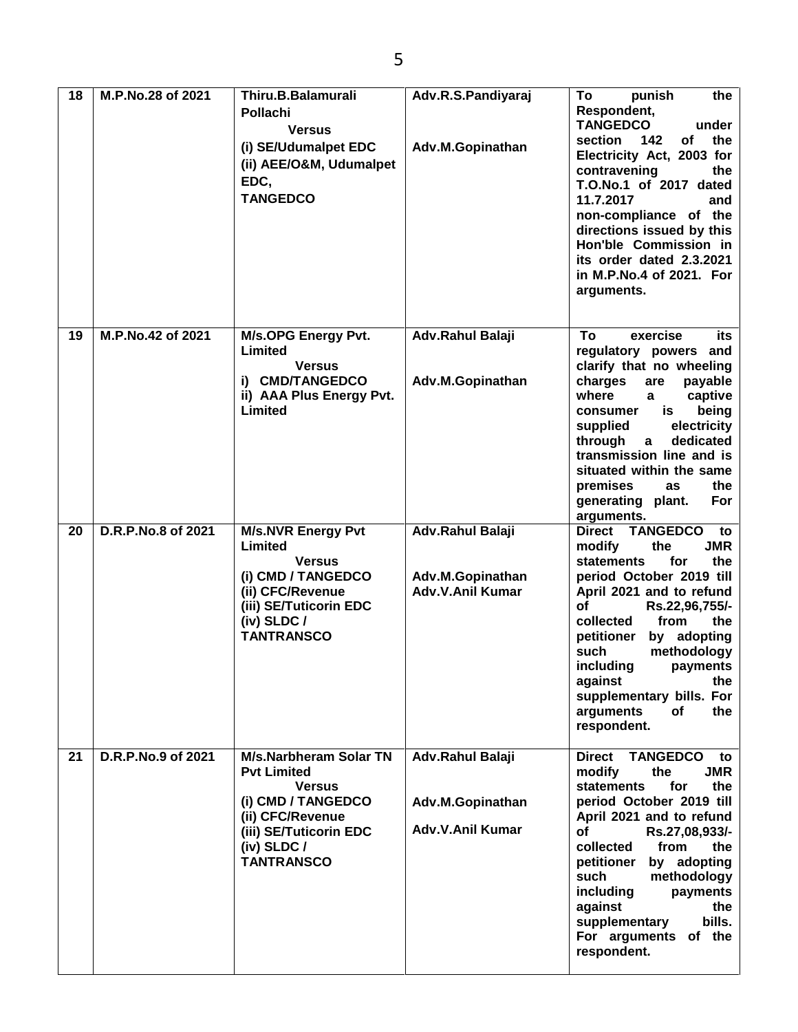| 18 | M.P.No.28 of 2021  | Thiru.B.Balamurali<br><b>Pollachi</b><br><b>Versus</b><br>(i) SE/Udumalpet EDC<br>(ii) AEE/O&M, Udumalpet<br>EDC,<br><b>TANGEDCO</b>                                           | Adv.R.S.Pandiyaraj<br>Adv.M.Gopinathan                          | To<br>punish<br>the<br>Respondent,<br><b>TANGEDCO</b><br>under<br>of<br>the<br>142<br>section<br>Electricity Act, 2003 for<br>contravening<br>the<br>T.O.No.1 of 2017 dated<br>11.7.2017<br>and<br>non-compliance of the<br>directions issued by this<br>Hon'ble Commission in<br>its order dated 2.3.2021<br>in M.P.No.4 of 2021. For<br>arguments.                                             |
|----|--------------------|--------------------------------------------------------------------------------------------------------------------------------------------------------------------------------|-----------------------------------------------------------------|--------------------------------------------------------------------------------------------------------------------------------------------------------------------------------------------------------------------------------------------------------------------------------------------------------------------------------------------------------------------------------------------------|
| 19 | M.P.No.42 of 2021  | <b>M/s.OPG Energy Pvt.</b><br>Limited<br><b>Versus</b><br>i) CMD/TANGEDCO<br>ii) AAA Plus Energy Pvt.<br>Limited                                                               | Adv.Rahul Balaji<br>Adv.M.Gopinathan                            | exercise<br>To<br>its<br>regulatory powers and<br>clarify that no wheeling<br>charges<br>are<br>payable<br>where<br>captive<br>$\mathbf{a}$<br>being<br>is<br>consumer<br>electricity<br>supplied<br>through<br>dedicated<br>$\mathbf{a}$<br>transmission line and is<br>situated within the same<br>premises<br>the<br>as<br>generating plant.<br>For<br>arguments.                             |
| 20 | D.R.P.No.8 of 2021 | <b>M/s.NVR Energy Pvt</b><br>Limited<br><b>Versus</b><br>(i) CMD / TANGEDCO<br>(ii) CFC/Revenue<br>(iii) SE/Tuticorin EDC<br>$(iv)$ SLDC /<br><b>TANTRANSCO</b>                | Adv.Rahul Balaji<br>Adv.M.Gopinathan<br><b>Adv.V.Anil Kumar</b> | <b>TANGEDCO</b><br><b>Direct</b><br>to<br><b>JMR</b><br>modify<br>the<br><b>statements</b><br>for<br>the<br>period October 2019 till<br>April 2021 and to refund<br>οf<br>Rs.22,96,755/-<br>collected<br>from<br>the<br>by adopting<br>petitioner<br>methodology<br>such<br>including<br>payments<br>against<br>the<br>supplementary bills. For<br>arguments<br>of<br>the<br>respondent.         |
| 21 | D.R.P.No.9 of 2021 | <b>M/s.Narbheram Solar TN</b><br><b>Pvt Limited</b><br><b>Versus</b><br>(i) CMD / TANGEDCO<br>(ii) CFC/Revenue<br>(iii) SE/Tuticorin EDC<br>$(iv)$ SLDC /<br><b>TANTRANSCO</b> | Adv.Rahul Balaji<br>Adv.M.Gopinathan<br><b>Adv.V.Anil Kumar</b> | <b>TANGEDCO</b><br><b>Direct</b><br>to<br><b>JMR</b><br>modify<br>the<br><b>statements</b><br>the<br>for<br>period October 2019 till<br>April 2021 and to refund<br>of<br>Rs.27,08,933/-<br>collected<br>from<br>the <b>the</b><br>petitioner<br>by adopting<br>methodology<br>such<br>including<br>payments<br>against<br>the<br>bills.<br>supplementary<br>For arguments of the<br>respondent. |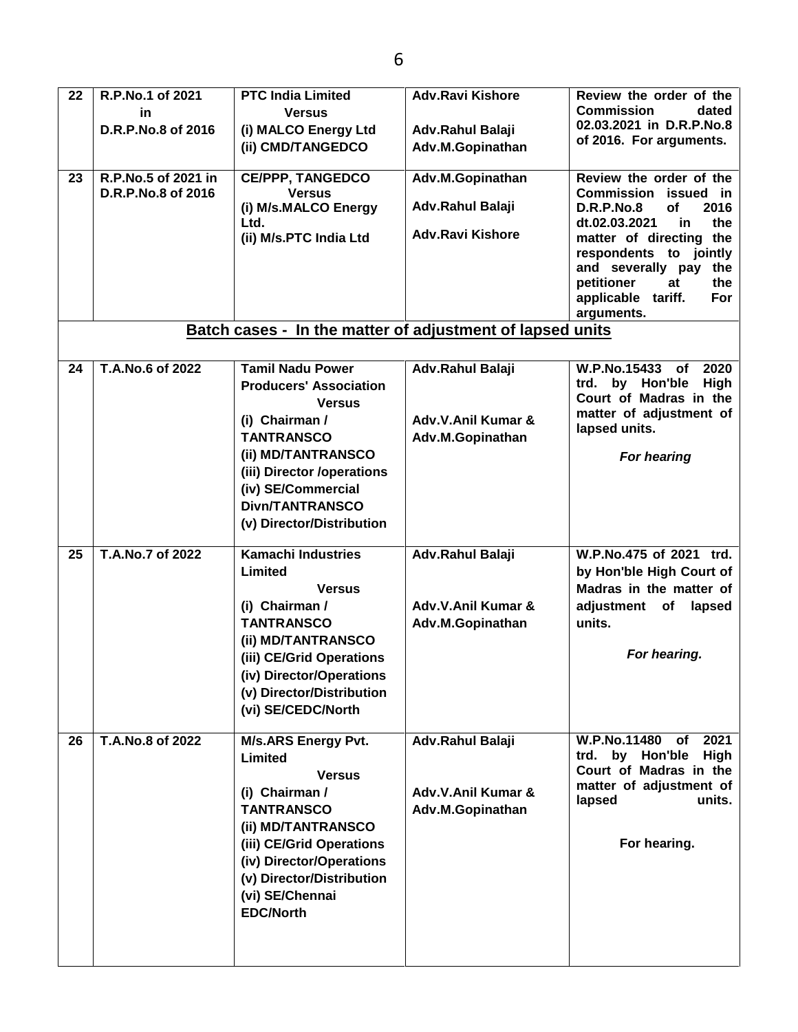| 22<br>23 | R.P.No.1 of 2021<br>in<br>D.R.P.No.8 of 2016<br>R.P.No.5 of 2021 in<br>D.R.P.No.8 of 2016 | <b>PTC India Limited</b><br><b>Versus</b><br>(i) MALCO Energy Ltd<br>(ii) CMD/TANGEDCO<br><b>CE/PPP, TANGEDCO</b><br><b>Versus</b><br>(i) M/s.MALCO Energy<br>Ltd.<br>(ii) M/s.PTC India Ltd                                                      | <b>Adv.Ravi Kishore</b><br>Adv.Rahul Balaji<br>Adv.M.Gopinathan<br>Adv.M.Gopinathan<br>Adv.Rahul Balaji<br><b>Adv.Ravi Kishore</b> | Review the order of the<br><b>Commission</b><br>dated<br>02.03.2021 in D.R.P.No.8<br>of 2016. For arguments.<br>Review the order of the<br>Commission issued in<br>of<br>2016<br><b>D.R.P.No.8</b><br>dt.02.03.2021<br>in<br>the<br>matter of directing the<br>respondents to jointly<br>and severally pay<br>the<br>petitioner<br>the<br>at<br>applicable tariff.<br>For<br>arguments. |
|----------|-------------------------------------------------------------------------------------------|---------------------------------------------------------------------------------------------------------------------------------------------------------------------------------------------------------------------------------------------------|------------------------------------------------------------------------------------------------------------------------------------|-----------------------------------------------------------------------------------------------------------------------------------------------------------------------------------------------------------------------------------------------------------------------------------------------------------------------------------------------------------------------------------------|
|          |                                                                                           | <b>Batch cases - In the matter of adjustment of lapsed units</b>                                                                                                                                                                                  |                                                                                                                                    |                                                                                                                                                                                                                                                                                                                                                                                         |
| 24       | T.A.No.6 of 2022                                                                          | <b>Tamil Nadu Power</b><br><b>Producers' Association</b><br><b>Versus</b><br>(i) Chairman /<br><b>TANTRANSCO</b><br>(ii) MD/TANTRANSCO<br>(iii) Director /operations<br>(iv) SE/Commercial<br><b>Divn/TANTRANSCO</b><br>(v) Director/Distribution | Adv.Rahul Balaji<br>Adv.V.Anil Kumar &<br>Adv.M.Gopinathan                                                                         | W.P.No.15433<br>2020<br><b>of</b><br>by Hon'ble<br><b>High</b><br>trd.<br>Court of Madras in the<br>matter of adjustment of<br>lapsed units.<br>For hearing                                                                                                                                                                                                                             |
| 25       | T.A.No.7 of 2022                                                                          | <b>Kamachi Industries</b><br>Limited<br><b>Versus</b><br>(i) Chairman /<br><b>TANTRANSCO</b><br>(ii) MD/TANTRANSCO<br>(iii) CE/Grid Operations<br>(iv) Director/Operations<br>(v) Director/Distribution<br>(vi) SE/CEDC/North                     | Adv.Rahul Balaji<br>Adv.V.Anil Kumar &<br>Adv.M.Gopinathan                                                                         | W.P.No.475 of 2021 trd.<br>by Hon'ble High Court of<br>Madras in the matter of<br>adjustment of lapsed<br>units.<br>For hearing.                                                                                                                                                                                                                                                        |
| 26       | T.A.No.8 of 2022                                                                          | <b>M/s.ARS Energy Pvt.</b><br>Limited<br><b>Versus</b><br>(i) Chairman /<br><b>TANTRANSCO</b><br>(ii) MD/TANTRANSCO<br>(iii) CE/Grid Operations<br>(iv) Director/Operations<br>(v) Director/Distribution<br>(vi) SE/Chennai<br><b>EDC/North</b>   | Adv.Rahul Balaji<br>Adv.V.Anil Kumar &<br>Adv.M.Gopinathan                                                                         | W.P.No.11480<br>2021<br>of<br>trd. by Hon'ble<br>High<br>Court of Madras in the<br>matter of adjustment of<br>units.<br>lapsed<br>For hearing.                                                                                                                                                                                                                                          |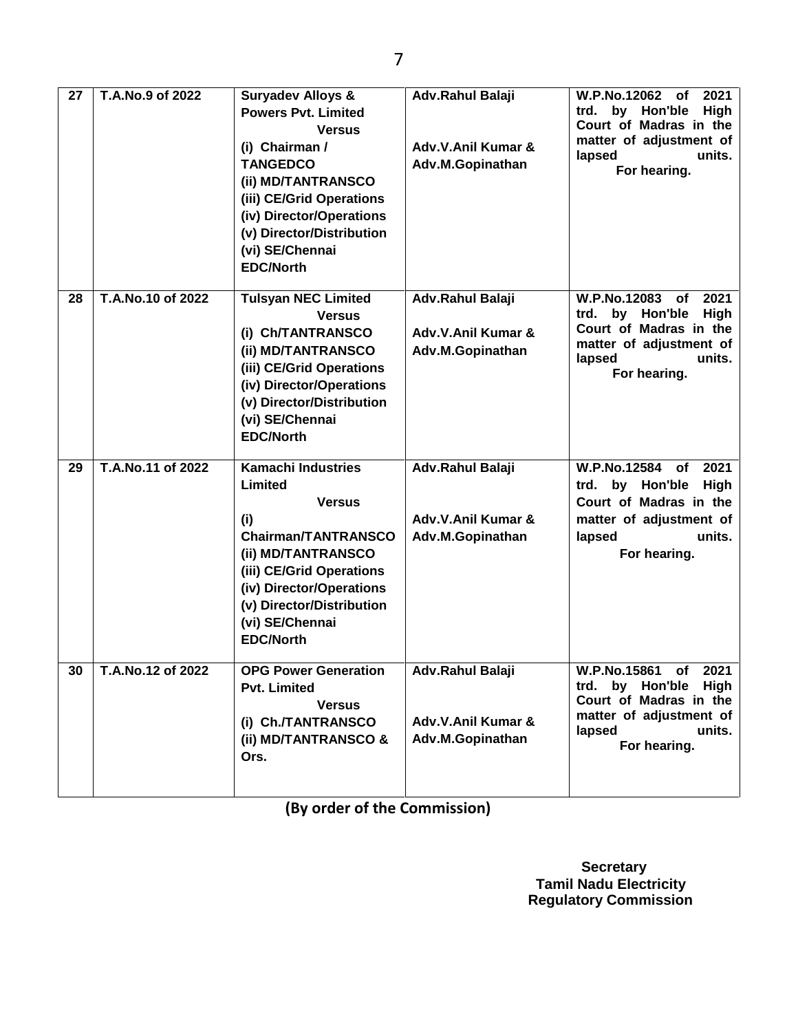| 27 | T.A.No.9 of 2022  | <b>Suryadev Alloys &amp;</b><br><b>Powers Pvt. Limited</b><br><b>Versus</b><br>(i) Chairman /<br><b>TANGEDCO</b><br>(ii) MD/TANTRANSCO<br>(iii) CE/Grid Operations<br>(iv) Director/Operations<br>(v) Director/Distribution<br>(vi) SE/Chennai<br><b>EDC/North</b> | Adv.Rahul Balaji<br>Adv.V.Anil Kumar &<br>Adv.M.Gopinathan | W.P.No.12062<br>2021<br>of<br>by Hon'ble<br><b>High</b><br>trd.<br>Court of Madras in the<br>matter of adjustment of<br>units.<br>lapsed<br>For hearing. |
|----|-------------------|--------------------------------------------------------------------------------------------------------------------------------------------------------------------------------------------------------------------------------------------------------------------|------------------------------------------------------------|----------------------------------------------------------------------------------------------------------------------------------------------------------|
| 28 | T.A.No.10 of 2022 | <b>Tulsyan NEC Limited</b><br><b>Versus</b><br>(i) Ch/TANTRANSCO<br>(ii) MD/TANTRANSCO<br>(iii) CE/Grid Operations<br>(iv) Director/Operations<br>(v) Director/Distribution<br>(vi) SE/Chennai<br><b>EDC/North</b>                                                 | Adv.Rahul Balaji<br>Adv.V.Anil Kumar &<br>Adv.M.Gopinathan | W.P.No.12083<br>2021<br>of<br>by Hon'ble<br><b>High</b><br>trd.<br>Court of Madras in the<br>matter of adjustment of<br>units.<br>lapsed<br>For hearing. |
| 29 | T.A.No.11 of 2022 | <b>Kamachi Industries</b><br>Limited<br><b>Versus</b><br>(i)<br><b>Chairman/TANTRANSCO</b><br>(ii) MD/TANTRANSCO<br>(iii) CE/Grid Operations<br>(iv) Director/Operations<br>(v) Director/Distribution<br>(vi) SE/Chennai<br><b>EDC/North</b>                       | Adv.Rahul Balaji<br>Adv.V.Anil Kumar &<br>Adv.M.Gopinathan | W.P.No.12584 of<br>2021<br>trd. by Hon'ble<br>High<br>Court of Madras in the<br>matter of adjustment of<br>lapsed<br>units.<br>For hearing.              |
| 30 | T.A.No.12 of 2022 | <b>OPG Power Generation</b><br><b>Pvt. Limited</b><br><b>Versus</b><br>(i) Ch./TANTRANSCO<br>(ii) MD/TANTRANSCO &<br>Ors.                                                                                                                                          | Adv.Rahul Balaji<br>Adv.V.Anil Kumar &<br>Adv.M.Gopinathan | W.P.No.15861 of 2021<br>trd. by Hon'ble High<br>Court of Madras in the<br>matter of adjustment of<br>lapsed<br>units.<br>For hearing.                    |

**(By order of the Commission)**

 **Secretary Tamil Nadu Electricity Regulatory Commission**